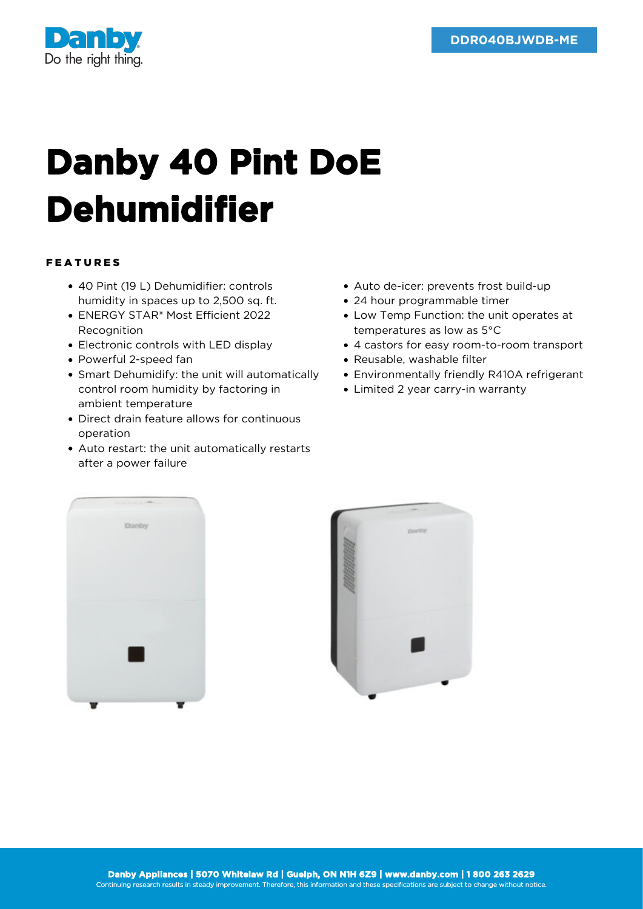

## **Danby 40 Pint DoE Dehumidifier**

## FEATURES

- 40 Pint (19 L) Dehumidifier: controls humidity in spaces up to 2,500 sq. ft.
- ENERGY STAR® Most Efficient 2022 Recognition
- Electronic controls with LED display
- Powerful 2-speed fan
- Smart Dehumidify: the unit will automatically control room humidity by factoring in ambient temperature
- Direct drain feature allows for continuous operation
- Auto restart: the unit automatically restarts after a power failure
- Auto de-icer: prevents frost build-up
- 24 hour programmable timer
- Low Temp Function: the unit operates at temperatures as low as 5°C
- 4 castors for easy room-to-room transport
- Reusable, washable filter
- Environmentally friendly R410A refrigerant
- Limited 2 year carry-in warranty